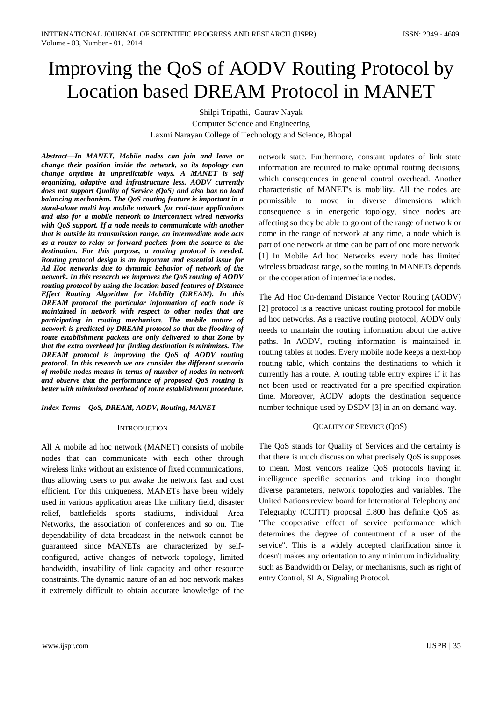# Improving the QoS of AODV Routing Protocol by Location based DREAM Protocol in MANET

Shilpi Tripathi, Gaurav Nayak Computer Science and Engineering Laxmi Narayan College of Technology and Science, Bhopal

*Abstract—In MANET, Mobile nodes can join and leave or change their position inside the network, so its topology can change anytime in unpredictable ways. A MANET is self organizing, adaptive and infrastructure less. AODV currently does not support Quality of Service (QoS) and also has no load balancing mechanism. The QoS routing feature is important in a stand-alone multi hop mobile network for real-time applications and also for a mobile network to interconnect wired networks with QoS support. If a node needs to communicate with another that is outside its transmission range, an intermediate node acts as a router to relay or forward packets from the source to the destination. For this purpose, a routing protocol is needed. Routing protocol design is an important and essential issue for Ad Hoc networks due to dynamic behavior of network of the network. In this research we improves the QoS routing of AODV routing protocol by using the location based features of Distance Effect Routing Algorithm for Mobility (DREAM). In this DREAM protocol the particular information of each node is maintained in network with respect to other nodes that are participating in routing mechanism. The mobile nature of network is predicted by DREAM protocol so that the flooding of route establishment packets are only delivered to that Zone by that the extra overhead for finding destination is minimizes. The DREAM protocol is improving the QoS of AODV routing protocol. In this research we are consider the different scenario of mobile nodes means in terms of number of nodes in network and observe that the performance of proposed QoS routing is better with minimized overhead of route establishment procedure.* 

*Index Terms—QoS, DREAM, AODV, Routing, MANET*

#### **INTRODUCTION**

All A mobile ad hoc network (MANET) consists of mobile nodes that can communicate with each other through wireless links without an existence of fixed communications, thus allowing users to put awake the network fast and cost efficient. For this uniqueness, MANETs have been widely used in various application areas like military field, disaster relief, battlefields sports stadiums, individual Area Networks, the association of conferences and so on. The dependability of data broadcast in the network cannot be guaranteed since MANETs are characterized by selfconfigured, active changes of network topology, limited bandwidth, instability of link capacity and other resource constraints. The dynamic nature of an ad hoc network makes it extremely difficult to obtain accurate knowledge of the network state. Furthermore, constant updates of link state information are required to make optimal routing decisions, which consequences in general control overhead. Another characteristic of MANET's is mobility. All the nodes are permissible to move in diverse dimensions which consequence s in energetic topology, since nodes are affecting so they be able to go out of the range of network or come in the range of network at any time, a node which is part of one network at time can be part of one more network. [1] In Mobile Ad hoc Networks every node has limited wireless broadcast range, so the routing in MANETs depends on the cooperation of intermediate nodes.

The Ad Hoc On-demand Distance Vector Routing (AODV) [2] protocol is a reactive unicast routing protocol for mobile ad hoc networks. As a reactive routing protocol, AODV only needs to maintain the routing information about the active paths. In AODV, routing information is maintained in routing tables at nodes. Every mobile node keeps a next-hop routing table, which contains the destinations to which it currently has a route. A routing table entry expires if it has not been used or reactivated for a pre-specified expiration time. Moreover, AODV adopts the destination sequence number technique used by DSDV [3] in an on-demand way.

#### QUALITY OF SERVICE (QOS)

The QoS stands for Quality of Services and the certainty is that there is much discuss on what precisely QoS is supposes to mean. Most vendors realize QoS protocols having in intelligence specific scenarios and taking into thought diverse parameters, network topologies and variables. The United Nations review board for International Telephony and Telegraphy (CCITT) proposal E.800 has definite QoS as: "The cooperative effect of service performance which determines the degree of contentment of a user of the service". This is a widely accepted clarification since it doesn't makes any orientation to any minimum individuality, such as Bandwidth or Delay, or mechanisms, such as right of entry Control, SLA, Signaling Protocol.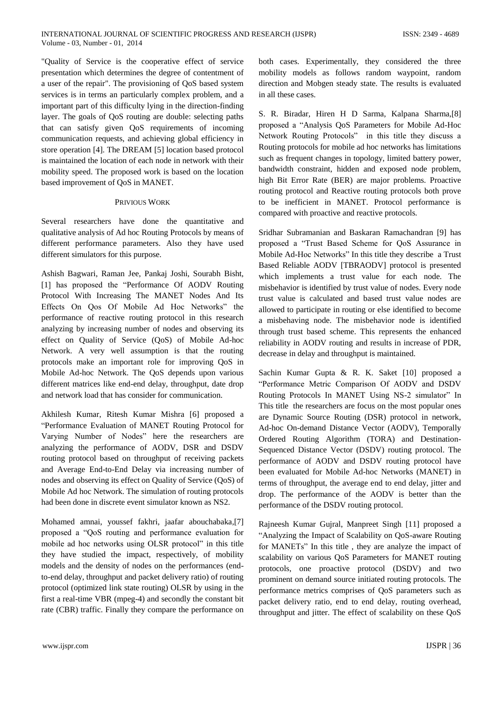"Quality of Service is the cooperative effect of service presentation which determines the degree of contentment of a user of the repair". The provisioning of QoS based system services is in terms an particularly complex problem, and a important part of this difficulty lying in the direction-finding layer. The goals of QoS routing are double: selecting paths that can satisfy given QoS requirements of incoming communication requests, and achieving global efficiency in store operation [4]. The DREAM [5] location based protocol is maintained the location of each node in network with their mobility speed. The proposed work is based on the location based improvement of QoS in MANET.

### PRIVIOUS WORK

Several researchers have done the quantitative and qualitative analysis of Ad hoc Routing Protocols by means of different performance parameters. Also they have used different simulators for this purpose.

Ashish Bagwari, Raman Jee, Pankaj Joshi, Sourabh Bisht, [1] has proposed the "Performance Of AODV Routing Protocol With Increasing The MANET Nodes And Its Effects On Qos Of Mobile Ad Hoc Networks" the performance of reactive routing protocol in this research analyzing by increasing number of nodes and observing its effect on Quality of Service (QoS) of Mobile Ad-hoc Network. A very well assumption is that the routing protocols make an important role for improving QoS in Mobile Ad-hoc Network. The QoS depends upon various different matrices like end-end delay, throughput, date drop and network load that has consider for communication.

Akhilesh Kumar, Ritesh Kumar Mishra [6] proposed a "Performance Evaluation of MANET Routing Protocol for Varying Number of Nodes" here the researchers are analyzing the performance of AODV, DSR and DSDV routing protocol based on throughput of receiving packets and Average End-to-End Delay via increasing number of nodes and observing its effect on Quality of Service (QoS) of Mobile Ad hoc Network. The simulation of routing protocols had been done in discrete event simulator known as NS2.

Mohamed amnai, youssef fakhri, jaafar abouchabaka,[7] proposed a "QoS routing and performance evaluation for mobile ad hoc networks using OLSR protocol" in this title they have studied the impact, respectively, of mobility models and the density of nodes on the performances (endto-end delay, throughput and packet delivery ratio) of routing protocol (optimized link state routing) OLSR by using in the first a real-time VBR (mpeg-4) and secondly the constant bit rate (CBR) traffic. Finally they compare the performance on both cases. Experimentally, they considered the three mobility models as follows random waypoint, random direction and Mobgen steady state. The results is evaluated in all these cases.

S. R. Biradar, Hiren H D Sarma, Kalpana Sharma,[8] proposed a "Analysis QoS Parameters for Mobile Ad-Hoc Network Routing Protocols" in this title they discuss a Routing protocols for mobile ad hoc networks has limitations such as frequent changes in topology, limited battery power, bandwidth constraint, hidden and exposed node problem, high Bit Error Rate (BER) are major problems. Proactive routing protocol and Reactive routing protocols both prove to be inefficient in MANET. Protocol performance is compared with proactive and reactive protocols.

Sridhar Subramanian and Baskaran Ramachandran [9] has proposed a "Trust Based Scheme for QoS Assurance in Mobile Ad-Hoc Networks" In this title they describe a Trust Based Reliable AODV [TBRAODV] protocol is presented which implements a trust value for each node. The misbehavior is identified by trust value of nodes. Every node trust value is calculated and based trust value nodes are allowed to participate in routing or else identified to become a misbehaving node. The misbehavior node is identified through trust based scheme. This represents the enhanced reliability in AODV routing and results in increase of PDR, decrease in delay and throughput is maintained.

Sachin Kumar Gupta & R. K. Saket [10] proposed a "Performance Metric Comparison Of AODV and DSDV Routing Protocols In MANET Using NS-2 simulator" In This title the researchers are focus on the most popular ones are Dynamic Source Routing (DSR) protocol in network, Ad-hoc On-demand Distance Vector (AODV), Temporally Ordered Routing Algorithm (TORA) and Destination-Sequenced Distance Vector (DSDV) routing protocol. The performance of AODV and DSDV routing protocol have been evaluated for Mobile Ad-hoc Networks (MANET) in terms of throughput, the average end to end delay, jitter and drop. The performance of the AODV is better than the performance of the DSDV routing protocol.

Rajneesh Kumar Gujral, Manpreet Singh [11] proposed a "Analyzing the Impact of Scalability on QoS-aware Routing for MANETs" In this title , they are analyze the impact of scalability on various QoS Parameters for MANET routing protocols, one proactive protocol (DSDV) and two prominent on demand source initiated routing protocols. The performance metrics comprises of QoS parameters such as packet delivery ratio, end to end delay, routing overhead, throughput and jitter. The effect of scalability on these QoS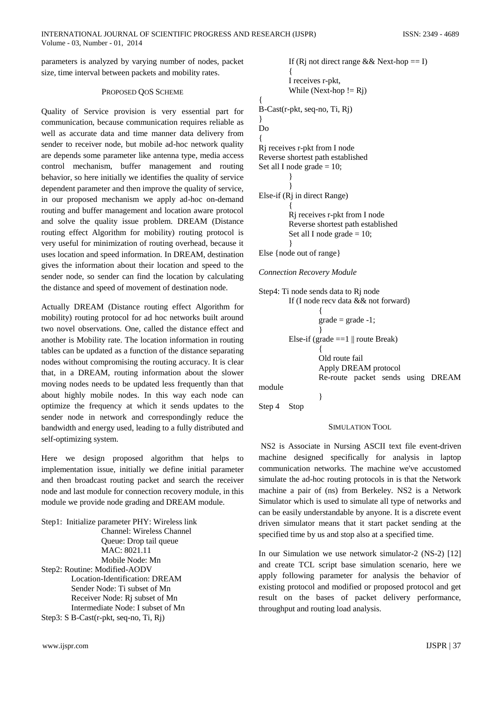parameters is analyzed by varying number of nodes, packet size, time interval between packets and mobility rates.

### PROPOSED QOS SCHEME

Quality of Service provision is very essential part for communication, because communication requires reliable as well as accurate data and time manner data delivery from sender to receiver node, but mobile ad-hoc network quality are depends some parameter like antenna type, media access control mechanism, buffer management and routing behavior, so here initially we identifies the quality of service dependent parameter and then improve the quality of service, in our proposed mechanism we apply ad-hoc on-demand routing and buffer management and location aware protocol and solve the quality issue problem. DREAM (Distance routing effect Algorithm for mobility) routing protocol is very useful for minimization of routing overhead, because it uses location and speed information. In DREAM, destination gives the information about their location and speed to the sender node, so sender can find the location by calculating the distance and speed of movement of destination node.

Actually DREAM (Distance routing effect Algorithm for mobility) routing protocol for ad hoc networks built around two novel observations. One, called the distance effect and another is Mobility rate. The location information in routing tables can be updated as a function of the distance separating nodes without compromising the routing accuracy. It is clear that, in a DREAM, routing information about the slower moving nodes needs to be updated less frequently than that about highly mobile nodes. In this way each node can optimize the frequency at which it sends updates to the sender node in network and correspondingly reduce the bandwidth and energy used, leading to a fully distributed and self-optimizing system.

Here we design proposed algorithm that helps to implementation issue, initially we define initial parameter and then broadcast routing packet and search the receiver node and last module for connection recovery module, in this module we provide node grading and DREAM module.

Step1: Initialize parameter PHY: Wireless link Channel: Wireless Channel Queue: Drop tail queue MAC: 8021.11 Mobile Node: Mn Step2: Routine: Modified-AODV Location-Identification: DREAM Sender Node: Ti subset of Mn Receiver Node: Rj subset of Mn Intermediate Node: I subset of Mn Step3: S B-Cast(r-pkt, seq-no, Ti, Rj)

```
If (Rj not direct range && Next-hop == I)
         { 
         I receives r-pkt, 
         While (Next-hop != Rj)
{ 
B-Cast(r-pkt, seq-no, Ti, Rj) 
} 
Do
{ 
Rj receives r-pkt from I node 
Reverse shortest path established 
Set all I node grade = 10;
         } 
         } 
Else-if (Rj in direct Range) 
         { 
         Rj receives r-pkt from I node 
         Reverse shortest path established 
         Set all I node grade = 10;
         } 
Else {node out of range}
```
*Connection Recovery Module* 

| Step4: Ti node sends data to Rj node                                                                         |
|--------------------------------------------------------------------------------------------------------------|
| If (I node recv data && not forward)                                                                         |
| \n $\{$<br>\n $grade = grade -1;$ \n                                                                         |
| \n        Else-if (grade ==1    route Break)                                                                 |
| \n        Old route fail<br>\n        Apply DREAD protocol<br>\n        Re-route packet sends using DREADM\n |

Step 4 Stop

# SIMULATION TOOL

 NS2 is Associate in Nursing ASCII text file event-driven machine designed specifically for analysis in laptop communication networks. The machine we've accustomed simulate the ad-hoc routing protocols in is that the Network machine a pair of (ns) from Berkeley. NS2 is a Network Simulator which is used to simulate all type of networks and can be easily understandable by anyone. It is a discrete event driven simulator means that it start packet sending at the specified time by us and stop also at a specified time.

In our Simulation we use network simulator-2 (NS-2) [12] and create TCL script base simulation scenario, here we apply following parameter for analysis the behavior of existing protocol and modified or proposed protocol and get result on the bases of packet delivery performance, throughput and routing load analysis.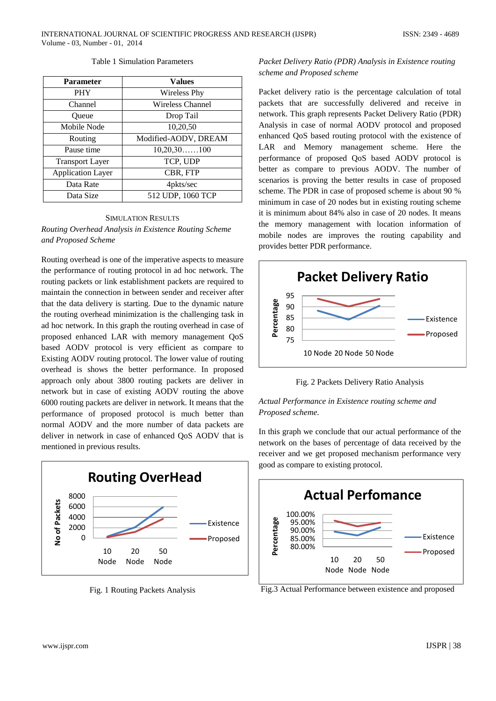## Table 1 Simulation Parameters

| <b>Parameter</b>         | Values                  |
|--------------------------|-------------------------|
| <b>PHY</b>               | <b>Wireless Phy</b>     |
| Channel                  | <b>Wireless Channel</b> |
| Oueue                    | Drop Tail               |
| Mobile Node              | 10,20,50                |
| Routing                  | Modified-AODV, DREAM    |
| Pause time               | $10,20,30$ 100          |
| <b>Transport Layer</b>   | TCP, UDP                |
| <b>Application Layer</b> | CBR, FTP                |
| Data Rate                | 4pkts/sec               |
| Data Size                | 512 UDP, 1060 TCP       |

# SIMULATION RESULTS *Routing Overhead Analysis in Existence Routing Scheme and Proposed Scheme*

Routing overhead is one of the imperative aspects to measure the performance of routing protocol in ad hoc network. The routing packets or link establishment packets are required to maintain the connection in between sender and receiver after that the data delivery is starting. Due to the dynamic nature the routing overhead minimization is the challenging task in ad hoc network. In this graph the routing overhead in case of proposed enhanced LAR with memory management QoS based AODV protocol is very efficient as compare to Existing AODV routing protocol. The lower value of routing overhead is shows the better performance. In proposed approach only about 3800 routing packets are deliver in network but in case of existing AODV routing the above 6000 routing packets are deliver in network. It means that the performance of proposed protocol is much better than normal AODV and the more number of data packets are deliver in network in case of enhanced QoS AODV that is mentioned in previous results.



Fig. 1 Routing Packets Analysis

# *Packet Delivery Ratio (PDR) Analysis in Existence routing scheme and Proposed scheme*

Packet delivery ratio is the percentage calculation of total packets that are successfully delivered and receive in network. This graph represents Packet Delivery Ratio (PDR) Analysis in case of normal AODV protocol and proposed enhanced QoS based routing protocol with the existence of LAR and Memory management scheme. Here the performance of proposed QoS based AODV protocol is better as compare to previous AODV. The number of scenarios is proving the better results in case of proposed scheme. The PDR in case of proposed scheme is about 90 % minimum in case of 20 nodes but in existing routing scheme it is minimum about 84% also in case of 20 nodes. It means the memory management with location information of mobile nodes are improves the routing capability and provides better PDR performance.



Fig. 2 Packets Delivery Ratio Analysis

# *Actual Performance in Existence routing scheme and Proposed scheme.*

In this graph we conclude that our actual performance of the network on the bases of percentage of data received by the receiver and we get proposed mechanism performance very good as compare to existing protocol.



Fig.3 Actual Performance between existence and proposed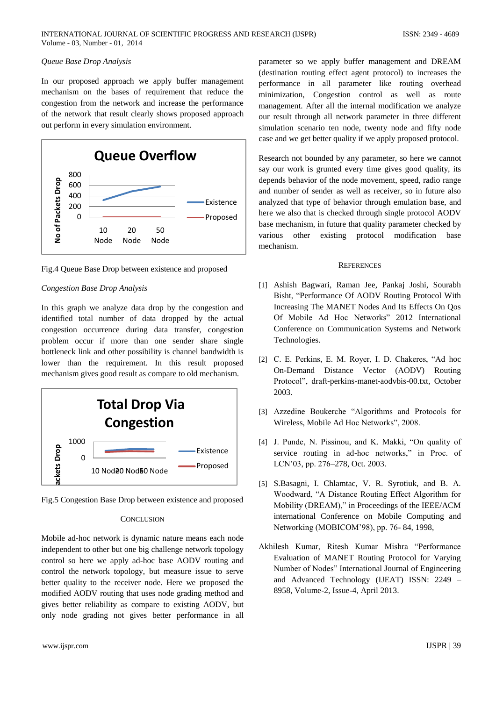# *Queue Base Drop Analysis*

In our proposed approach we apply buffer management mechanism on the bases of requirement that reduce the congestion from the network and increase the performance of the network that result clearly shows proposed approach out perform in every simulation environment.



Fig.4 Queue Base Drop between existence and proposed

# *Congestion Base Drop Analysis*

In this graph we analyze data drop by the congestion and identified total number of data dropped by the actual congestion occurrence during data transfer, congestion problem occur if more than one sender share single bottleneck link and other possibility is channel bandwidth is lower than the requirement. In this result proposed mechanism gives good result as compare to old mechanism.



Fig.5 Congestion Base Drop between existence and proposed

# **CONCLUSION**

Mobile ad-hoc network is dynamic nature means each node independent to other but one big challenge network topology control so here we apply ad-hoc base AODV routing and control the network topology, but measure issue to serve better quality to the receiver node. Here we proposed the modified AODV routing that uses node grading method and gives better reliability as compare to existing AODV, but only node grading not gives better performance in all

parameter so we apply buffer management and DREAM (destination routing effect agent protocol) to increases the performance in all parameter like routing overhead minimization, Congestion control as well as route management. After all the internal modification we analyze our result through all network parameter in three different simulation scenario ten node, twenty node and fifty node case and we get better quality if we apply proposed protocol.

Research not bounded by any parameter, so here we cannot say our work is grunted every time gives good quality, its depends behavior of the node movement, speed, radio range and number of sender as well as receiver, so in future also analyzed that type of behavior through emulation base, and here we also that is checked through single protocol AODV base mechanism, in future that quality parameter checked by various other existing protocol modification base mechanism.

## **REFERENCES**

- [1] Ashish Bagwari, Raman Jee, Pankaj Joshi, Sourabh Bisht, "Performance Of AODV Routing Protocol With Increasing The MANET Nodes And Its Effects On Qos Of Mobile Ad Hoc Networks" 2012 International Conference on Communication Systems and Network Technologies.
- [2] C. E. Perkins, E. M. Royer, I. D. Chakeres, "Ad hoc On-Demand Distance Vector (AODV) Routing Protocol", draft-perkins-manet-aodvbis-00.txt, October 2003.
- [3] Azzedine Boukerche "Algorithms and Protocols for Wireless, Mobile Ad Hoc Networks", 2008.
- [4] J. Punde, N. Pissinou, and K. Makki, "On quality of service routing in ad-hoc networks," in Proc. of LCN'03, pp. 276–278, Oct. 2003.
- [5] S.Basagni, I. Chlamtac, V. R. Syrotiuk, and B. A. Woodward, "A Distance Routing Effect Algorithm for Mobility (DREAM)," in Proceedings of the IEEE/ACM international Conference on Mobile Computing and Networking (MOBICOM'98), pp. 76- 84*,* 1998,
- Akhilesh Kumar, Ritesh Kumar Mishra "Performance Evaluation of MANET Routing Protocol for Varying Number of Nodes" International Journal of Engineering and Advanced Technology (IJEAT) ISSN: 2249 – 8958, Volume-2, Issue-4, April 2013.